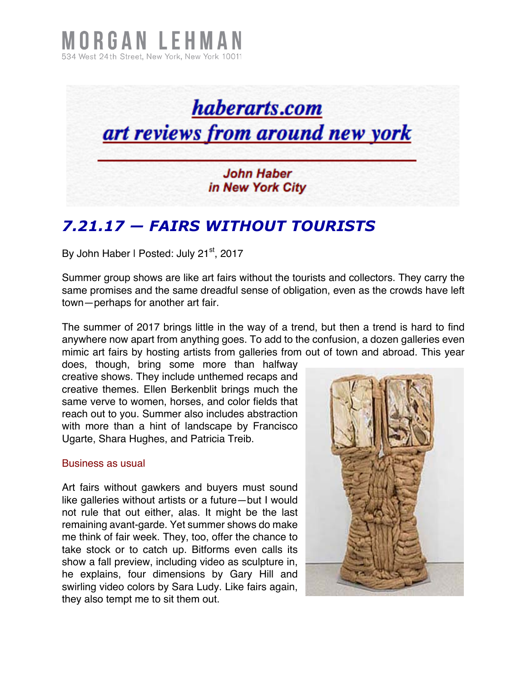haberarts.com art reviews from around new york

> **John Haber** in New York City

## *7.21.17 — FAIRS WITHOUT TOURISTS*

By John Haber I Posted: July 21<sup>st</sup>, 2017

Summer group shows are like art fairs without the tourists and collectors. They carry the same promises and the same dreadful sense of obligation, even as the crowds have left town—perhaps for another art fair.

The summer of 2017 brings little in the way of a trend, but then a trend is hard to find anywhere now apart from anything goes. To add to the confusion, a dozen galleries even mimic art fairs by hosting artists from galleries from out of town and abroad. This year

does, though, bring some more than halfway creative shows. They include unthemed recaps and creative themes. Ellen Berkenblit brings much the same verve to women, horses, and color fields that reach out to you. Summer also includes abstraction with more than a hint of landscape by Francisco Ugarte, Shara Hughes, and Patricia Treib.

#### Business as usual

Art fairs without gawkers and buyers must sound like galleries without artists or a future—but I would not rule that out either, alas. It might be the last remaining avant-garde. Yet summer shows do make me think of fair week. They, too, offer the chance to take stock or to catch up. Bitforms even calls its show a fall preview, including video as sculpture in, he explains, four dimensions by Gary Hill and swirling video colors by Sara Ludy. Like fairs again, they also tempt me to sit them out.

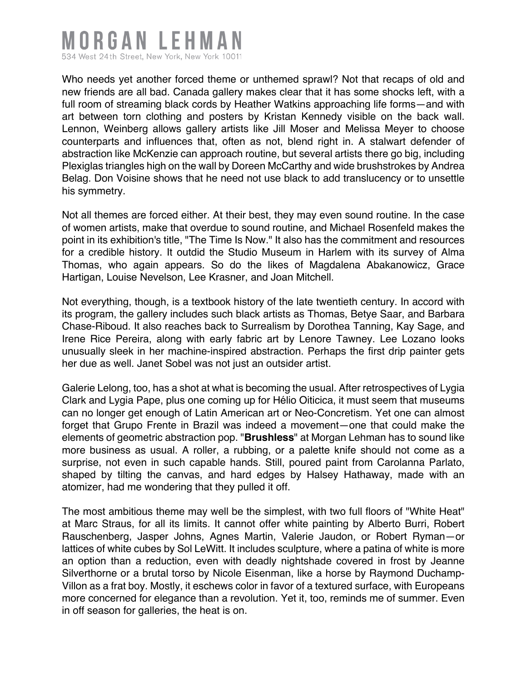# MORGAN LEHMAN

534 West 24th Street, New York, New York 10011

Who needs yet another forced theme or unthemed sprawl? Not that recaps of old and new friends are all bad. Canada gallery makes clear that it has some shocks left, with a full room of streaming black cords by Heather Watkins approaching life forms—and with art between torn clothing and posters by Kristan Kennedy visible on the back wall. Lennon, Weinberg allows gallery artists like Jill Moser and Melissa Meyer to choose counterparts and influences that, often as not, blend right in. A stalwart defender of abstraction like McKenzie can approach routine, but several artists there go big, including Plexiglas triangles high on the wall by Doreen McCarthy and wide brushstrokes by Andrea Belag. Don Voisine shows that he need not use black to add translucency or to unsettle his symmetry.

Not all themes are forced either. At their best, they may even sound routine. In the case of women artists, make that overdue to sound routine, and Michael Rosenfeld makes the point in its exhibition's title, "The Time Is Now." It also has the commitment and resources for a credible history. It outdid the Studio Museum in Harlem with its survey of Alma Thomas, who again appears. So do the likes of Magdalena Abakanowicz, Grace Hartigan, Louise Nevelson, Lee Krasner, and Joan Mitchell.

Not everything, though, is a textbook history of the late twentieth century. In accord with its program, the gallery includes such black artists as Thomas, Betye Saar, and Barbara Chase-Riboud. It also reaches back to Surrealism by Dorothea Tanning, Kay Sage, and Irene Rice Pereira, along with early fabric art by Lenore Tawney. Lee Lozano looks unusually sleek in her machine-inspired abstraction. Perhaps the first drip painter gets her due as well. Janet Sobel was not just an outsider artist.

Galerie Lelong, too, has a shot at what is becoming the usual. After retrospectives of Lygia Clark and Lygia Pape, plus one coming up for Hélio Oiticica, it must seem that museums can no longer get enough of Latin American art or Neo-Concretism. Yet one can almost forget that Grupo Frente in Brazil was indeed a movement—one that could make the elements of geometric abstraction pop. "**Brushless**" at Morgan Lehman has to sound like more business as usual. A roller, a rubbing, or a palette knife should not come as a surprise, not even in such capable hands. Still, poured paint from Carolanna Parlato, shaped by tilting the canvas, and hard edges by Halsey Hathaway, made with an atomizer, had me wondering that they pulled it off.

The most ambitious theme may well be the simplest, with two full floors of "White Heat" at Marc Straus, for all its limits. It cannot offer white painting by Alberto Burri, Robert Rauschenberg, Jasper Johns, Agnes Martin, Valerie Jaudon, or Robert Ryman—or lattices of white cubes by Sol LeWitt. It includes sculpture, where a patina of white is more an option than a reduction, even with deadly nightshade covered in frost by Jeanne Silverthorne or a brutal torso by Nicole Eisenman, like a horse by Raymond Duchamp-Villon as a frat boy. Mostly, it eschews color in favor of a textured surface, with Europeans more concerned for elegance than a revolution. Yet it, too, reminds me of summer. Even in off season for galleries, the heat is on.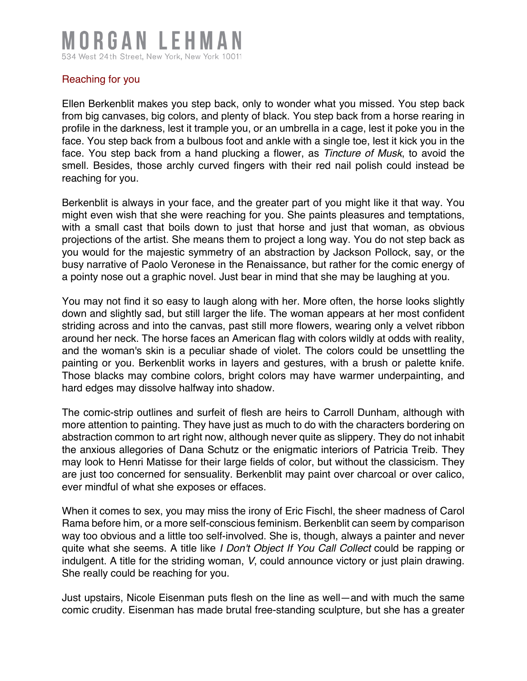### ORGAN LEHM 534 West 24th Street, New York, New York 10011

#### Reaching for you

Ellen Berkenblit makes you step back, only to wonder what you missed. You step back from big canvases, big colors, and plenty of black. You step back from a horse rearing in profile in the darkness, lest it trample you, or an umbrella in a cage, lest it poke you in the face. You step back from a bulbous foot and ankle with a single toe, lest it kick you in the face. You step back from a hand plucking a flower, as *Tincture of Musk*, to avoid the smell. Besides, those archly curved fingers with their red nail polish could instead be reaching for you.

Berkenblit is always in your face, and the greater part of you might like it that way. You might even wish that she were reaching for you. She paints pleasures and temptations, with a small cast that boils down to just that horse and just that woman, as obvious projections of the artist. She means them to project a long way. You do not step back as you would for the majestic symmetry of an abstraction by Jackson Pollock, say, or the busy narrative of Paolo Veronese in the Renaissance, but rather for the comic energy of a pointy nose out a graphic novel. Just bear in mind that she may be laughing at you.

You may not find it so easy to laugh along with her. More often, the horse looks slightly down and slightly sad, but still larger the life. The woman appears at her most confident striding across and into the canvas, past still more flowers, wearing only a velvet ribbon around her neck. The horse faces an American flag with colors wildly at odds with reality, and the woman's skin is a peculiar shade of violet. The colors could be unsettling the painting or you. Berkenblit works in layers and gestures, with a brush or palette knife. Those blacks may combine colors, bright colors may have warmer underpainting, and hard edges may dissolve halfway into shadow.

The comic-strip outlines and surfeit of flesh are heirs to Carroll Dunham, although with more attention to painting. They have just as much to do with the characters bordering on abstraction common to art right now, although never quite as slippery. They do not inhabit the anxious allegories of Dana Schutz or the enigmatic interiors of Patricia Treib. They may look to Henri Matisse for their large fields of color, but without the classicism. They are just too concerned for sensuality. Berkenblit may paint over charcoal or over calico, ever mindful of what she exposes or effaces.

When it comes to sex, you may miss the irony of Eric Fischl, the sheer madness of Carol Rama before him, or a more self-conscious feminism. Berkenblit can seem by comparison way too obvious and a little too self-involved. She is, though, always a painter and never quite what she seems. A title like *I Don't Object If You Call Collect* could be rapping or indulgent. A title for the striding woman, *V*, could announce victory or just plain drawing. She really could be reaching for you.

Just upstairs, Nicole Eisenman puts flesh on the line as well—and with much the same comic crudity. Eisenman has made brutal free-standing sculpture, but she has a greater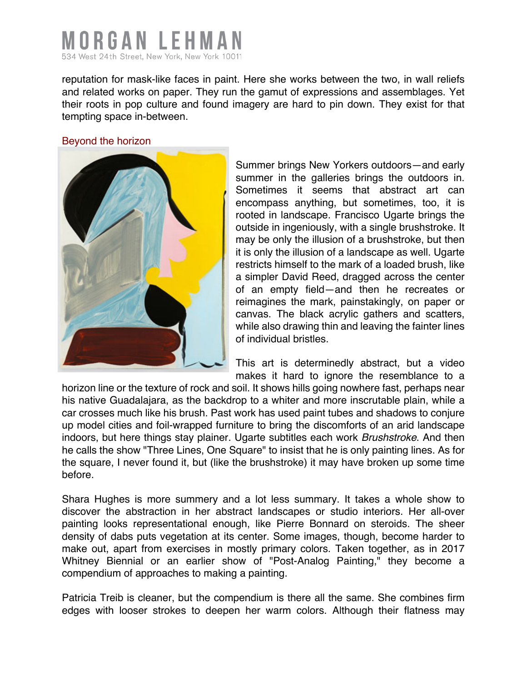#### ORGAN LE H 534 West 24th Street, New York, New York 10011

reputation for mask-like faces in paint. Here she works between the two, in wall reliefs and related works on paper. They run the gamut of expressions and assemblages. Yet their roots in pop culture and found imagery are hard to pin down. They exist for that tempting space in-between.

#### Beyond the horizon



Summer brings New Yorkers outdoors—and early summer in the galleries brings the outdoors in. Sometimes it seems that abstract art can encompass anything, but sometimes, too, it is rooted in landscape. Francisco Ugarte brings the outside in ingeniously, with a single brushstroke. It may be only the illusion of a brushstroke, but then it is only the illusion of a landscape as well. Ugarte restricts himself to the mark of a loaded brush, like a simpler David Reed, dragged across the center of an empty field—and then he recreates or reimagines the mark, painstakingly, on paper or canvas. The black acrylic gathers and scatters, while also drawing thin and leaving the fainter lines of individual bristles.

This art is determinedly abstract, but a video makes it hard to ignore the resemblance to a

horizon line or the texture of rock and soil. It shows hills going nowhere fast, perhaps near his native Guadalajara, as the backdrop to a whiter and more inscrutable plain, while a car crosses much like his brush. Past work has used paint tubes and shadows to conjure up model cities and foil-wrapped furniture to bring the discomforts of an arid landscape indoors, but here things stay plainer. Ugarte subtitles each work *Brushstroke*. And then he calls the show "Three Lines, One Square" to insist that he is only painting lines. As for the square, I never found it, but (like the brushstroke) it may have broken up some time before.

Shara Hughes is more summery and a lot less summary. It takes a whole show to discover the abstraction in her abstract landscapes or studio interiors. Her all-over painting looks representational enough, like Pierre Bonnard on steroids. The sheer density of dabs puts vegetation at its center. Some images, though, become harder to make out, apart from exercises in mostly primary colors. Taken together, as in 2017 Whitney Biennial or an earlier show of "Post-Analog Painting," they become a compendium of approaches to making a painting.

Patricia Treib is cleaner, but the compendium is there all the same. She combines firm edges with looser strokes to deepen her warm colors. Although their flatness may